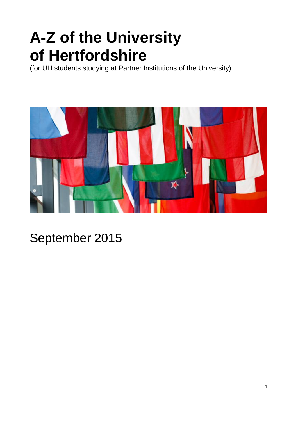# **A-Z of the University of Hertfordshire**

(for UH students studying at Partner Institutions of the University)



## September 2015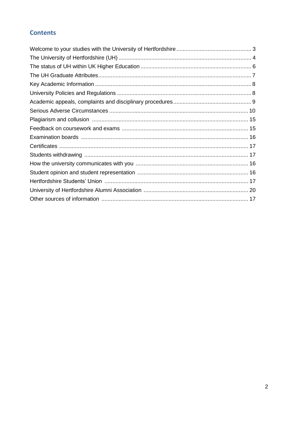#### **Contents**

<span id="page-1-0"></span>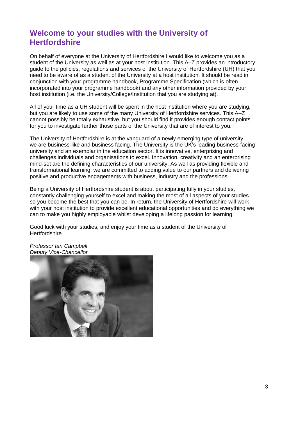### **Welcome to your studies with the University of Hertfordshire**

On behalf of everyone at the University of Hertfordshire I would like to welcome you as a student of the University as well as at your host institution. This A–Z provides an introductory guide to the policies, regulations and services of the University of Hertfordshire (UH) that you need to be aware of as a student of the University at a host institution. It should be read in conjunction with your programme handbook, Programme Specification (which is often incorporated into your programme handbook) and any other information provided by your host institution (i.e. the University/College/Institution that you are studying at).

All of your time as a UH student will be spent in the host institution where you are studying, but you are likely to use some of the many University of Hertfordshire services. This A–Z cannot possibly be totally exhaustive, but you should find it provides enough contact points for you to investigate further those parts of the University that are of interest to you.

The University of Hertfordshire is at the vanguard of a newly emerging type of university – we are business-like and business facing. The University is the UK's leading business-facing university and an exemplar in the education sector. It is innovative, enterprising and challenges individuals and organisations to excel. Innovation, creativity and an enterprising mind-set are the defining characteristics of our university. As well as providing flexible and transformational learning, we are committed to adding value to our partners and delivering positive and productive engagements with business, industry and the professions.

Being a University of Hertfordshire student is about participating fully in your studies, constantly challenging yourself to excel and making the most of all aspects of your studies so you become the best that you can be. In return, the University of Hertfordshire will work with your host institution to provide excellent educational opportunities and do everything we can to make you highly employable whilst developing a lifelong passion for learning.

Good luck with your studies, and enjoy your time as a student of the University of Hertfordshire.

*Professor Ian Campbell Deputy Vice-Chancellor*

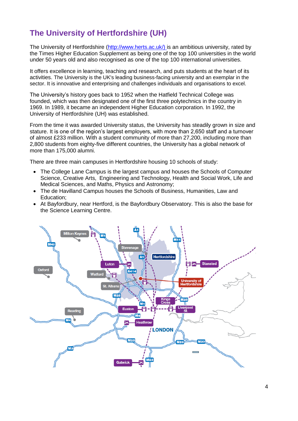### **The University of Hertfordshire (UH)**

The University of Hertfordshire [\(http://www.herts.ac.uk/\)](http://www.herts.ac.uk/) is an ambitious university, rated by the Times Higher Education Supplement as being one of the top 100 universities in the world under 50 years old and also recognised as one of the top 100 international universities.

It offers excellence in learning, teaching and research, and puts students at the heart of its activities. The University is the UK's leading business-facing university and an exemplar in the sector. It is innovative and enterprising and challenges individuals and organisations to excel.

The University's history goes back to 1952 when the Hatfield Technical College was founded, which was then designated one of the first three polytechnics in the country in 1969. In 1989, it became an independent Higher Education corporation. In 1992, the University of Hertfordshire (UH) was established.

From the time it was awarded University status, the University has steadily grown in size and stature. It is one of the region's largest employers, with more than 2,650 staff and a turnover of almost £233 million. With a student community of more than 27,200, including more than 2,800 students from eighty-five different countries, the University has a global network of more than 175,000 alumni.

There are three main campuses in Hertfordshire housing 10 schools of study:

- The College Lane Campus is the largest campus and houses the Schools of Computer Science, Creative Arts, Engineering and Technology, Health and Social Work, Life and Medical Sciences, and Maths, Physics and Astronomy;
- The de Havilland Campus houses the Schools of Business, Humanities, Law and Education;
- At Bayfordbury, near Hertford, is the Bayfordbury Observatory. This is also the base for the Science Learning Centre.

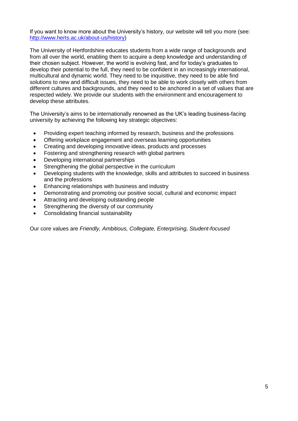<span id="page-4-0"></span>If you want to know more about the University's history, our website will tell you more (see: [http://www.herts.ac.uk/about-us/history\)](http://www.herts.ac.uk/about-us/history)

The University of Hertfordshire educates students from a wide range of backgrounds and from all over the world, enabling them to acquire a deep knowledge and understanding of their chosen subject. However, the world is evolving fast, and for today's graduates to develop their potential to the full, they need to be confident in an increasingly international, multicultural and dynamic world. They need to be inquisitive, they need to be able find solutions to new and difficult issues, they need to be able to work closely with others from different cultures and backgrounds, and they need to be anchored in a set of values that are respected widely. We provide our students with the environment and encouragement to develop these attributes.

The University's aims to be internationally renowned as the UK's leading business-facing university by achieving the following key strategic objectives:

- Providing expert teaching informed by research, business and the professions
- Offering workplace engagement and overseas learning opportunities
- Creating and developing innovative ideas, products and processes
- Fostering and strengthening research with global partners
- Developing international partnerships
- Strengthening the global perspective in the curriculum
- Developing students with the knowledge, skills and attributes to succeed in business and the professions
- Enhancing relationships with business and industry
- Demonstrating and promoting our positive social, cultural and economic impact
- Attracting and developing outstanding people
- Strengthening the diversity of our community
- Consolidating financial sustainability

Our core values are *Friendly, Ambitious, Collegiate, Enterprising, Student-focused*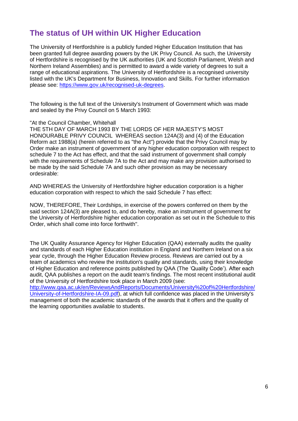### **The status of UH within UK Higher Education**

The University of Hertfordshire is a publicly funded Higher Education Institution that has been granted full degree awarding powers by the UK Privy Council. As such, the University of Hertfordshire is recognised by the UK authorities (UK and Scottish Parliament, Welsh and Northern Ireland Assemblies) and is permitted to award a wide variety of degrees to suit a range of educational aspirations. The University of Hertfordshire is a recognised university listed with the UK's Department for Business, Innovation and Skills. For further information please see: [https://www.gov.uk/recognised-uk-degrees.](https://www.gov.uk/recognised-uk-degrees)

The following is the full text of the University's Instrument of Government which was made and sealed by the Privy Council on 5 March 1993:

#### "At the Council Chamber, Whitehall

THE 5TH DAY OF MARCH 1993 BY THE LORDS OF HER MAJESTY'S MOST HONOURABLE PRIVY COUNCIL WHEREAS section 124A(3) and (4) of the Education Reform act 1988(a) (herein referred to as "the Act") provide that the Privy Council may by Order make an instrument of government of any higher education corporation with respect to schedule 7 to the Act has effect, and that the said instrument of government shall comply with the requirements of Schedule 7A to the Act and may make any provision authorised to be made by the said Schedule 7A and such other provision as may be necessary ordesirable:

AND WHEREAS the University of Hertfordshire higher education corporation is a higher education corporation with respect to which the said Schedule 7 has effect:

NOW, THEREFORE, Their Lordships, in exercise of the powers conferred on them by the said section 124A(3) are pleased to, and do hereby, make an instrument of government for the University of Hertfordshire higher education corporation as set out in the Schedule to this Order, which shall come into force forthwith".

The UK Quality Assurance Agency for Higher Education (QAA) externally audits the quality and standards of each Higher Education institution in England and Northern Ireland on a six year cycle, through the Higher Education Review process. Reviews are carried out by a team of academics who review the institution's quality and standards, using their knowledge of Higher Education and reference points published by QAA (The 'Quality Code'). After each audit, QAA publishes a report on the audit team's findings. The most recent institutional audit of the University of Hertfordshire took place in March 2009 (see: [http://www.qaa.ac.uk/en/ReviewsAndReports/Documents/University%20of%20Hertfordshire/](http://www.qaa.ac.uk/en/ReviewsAndReports/Documents/University%20of%20Hertfordshire/University-of-Hertfordshire-IA-09.pdf)

[University-of-Hertfordshire-IA-09.pdf\)](http://www.qaa.ac.uk/en/ReviewsAndReports/Documents/University%20of%20Hertfordshire/University-of-Hertfordshire-IA-09.pdf), at which full confidence was placed in the University's management of both the academic standards of the awards that it offers and the quality of the learning opportunities available to students.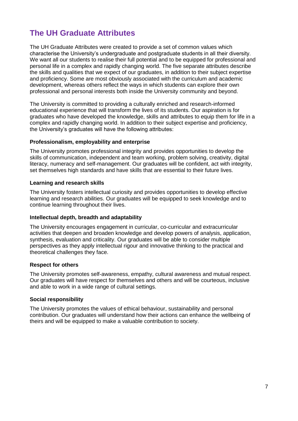### **The UH Graduate Attributes**

The UH Graduate Attributes were created to provide a set of common values which characterise the University's undergraduate and postgraduate students in all their diversity. We want all our students to realise their full potential and to be equipped for professional and personal life in a complex and rapidly changing world. The five separate attributes describe the skills and qualities that we expect of our graduates, in addition to their subject expertise and proficiency. Some are most obviously associated with the curriculum and academic development, whereas others reflect the ways in which students can explore their own professional and personal interests both inside the University community and beyond.

The University is committed to providing a culturally enriched and research-informed educational experience that will transform the lives of its students. Our aspiration is for graduates who have developed the knowledge, skills and attributes to equip them for life in a complex and rapidly changing world. In addition to their subject expertise and proficiency, the University's graduates will have the following attributes:

#### <span id="page-6-0"></span>**Professionalism, employability and enterprise**

The University promotes professional integrity and provides opportunities to develop the skills of communication, independent and team working, problem solving, creativity, digital literacy, numeracy and self-management. Our graduates will be confident, act with integrity, set themselves high standards and have skills that are essential to their future lives.

#### <span id="page-6-1"></span>**Learning and research skills**

The University fosters intellectual curiosity and provides opportunities to develop effective learning and research abilities. Our graduates will be equipped to seek knowledge and to continue learning throughout their lives.

#### <span id="page-6-2"></span>**Intellectual depth, breadth and adaptability**

The University encourages engagement in curricular, co-curricular and extracurricular activities that deepen and broaden knowledge and develop powers of analysis, application, synthesis, evaluation and criticality. Our graduates will be able to consider multiple perspectives as they apply intellectual rigour and innovative thinking to the practical and theoretical challenges they face.

#### <span id="page-6-3"></span>**Respect for others**

The University promotes self-awareness, empathy, cultural awareness and mutual respect. Our graduates will have respect for themselves and others and will be courteous, inclusive and able to work in a wide range of cultural settings.

#### <span id="page-6-4"></span>**Social responsibility**

<span id="page-6-5"></span>The University promotes the values of ethical behaviour, sustainability and personal contribution. Our graduates will understand how their actions can enhance the wellbeing of theirs and will be equipped to make a valuable contribution to society.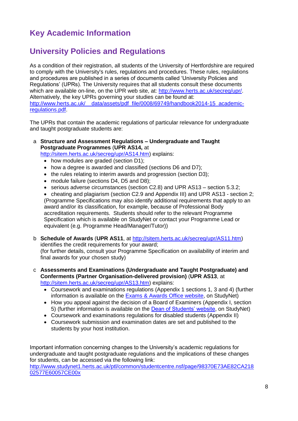### <span id="page-7-0"></span>**Key Academic Information**

### **University Policies and Regulations**

As a condition of their registration, all students of the University of Hertfordshire are required to comply with the University's rules, regulations and procedures. These rules, regulations and procedures are published in a series of documents called 'University Policies and Regulations' (UPRs). The University requires that all students consult these documents which are available on-line, on the UPR web site, at: [http://www.herts.ac.uk/secreg/upr/.](http://www.herts.ac.uk/secreg/upr/) Alternatively, the key UPRs governing your studies can be found at: http://www.herts.ac.uk/ data/assets/pdf file/0008/69749/handbook2014-15 academic[regulations.pdf.](http://www.herts.ac.uk/__data/assets/pdf_file/0008/69749/handbook2014-15_academic-regulations.pdf)

The UPRs that contain the academic regulations of particular relevance for undergraduate and taught postgraduate students are:

- a **Structure and Assessment Regulations – Undergraduate and Taught Postgraduate Programmes** (**UPR AS14,** at [http://sitem.herts.ac.uk/secreg/upr/AS14.htm\)](http://sitem.herts.ac.uk/secreg/upr/AS14.htm) explains:
	- how modules are graded (section D1);
	- how a degree is awarded and classified (sections D6 and D7);
	- the rules relating to interim awards and progression (section D3);
	- module failure (sections D4, D5 and D8):
	- serious adverse circumstances (section C2.8) and UPR AS13 section 5.3.2;

 cheating and plagiarism (section C2.9 and Appendix III) and UPR AS13 - section 2; (Programme Specifications may also identify additional requirements that apply to an award and/or its classification, for example, because of Professional Body accreditation requirements. Students should refer to the relevant Programme Specification which is available on StudyNet or contact your Programme Lead or equivalent (e.g. Programme Head/Manager/Tutor))

- b **Schedule of Awards** (**UPR AS11**, at [http://sitem.herts.ac.uk/secreg/upr/AS11.htm\)](http://sitem.herts.ac.uk/secreg/upr/AS11.htm) identifies the credit requirements for your award; (for further details, consult your Programme Specification on availability of interim and final awards for your chosen study)
- c **Assessments and Examinations (Undergraduate and Taught Postgraduate) and Conferments (Partner Organisation-delivered provision)** (**UPR AS13**, at [http://sitem.herts.ac.uk/secreg/upr/AS13.htm\)](http://sitem.herts.ac.uk/secreg/upr/AS13.htm) explains:
	- Coursework and examinations regulations (Appendix 1 sections 1, 3 and 4) (further information is available on the [Exams & Awards Office website,](http://www.studynet1.herts.ac.uk/intranet/examsoffice.nsf/Homepage?ReadForm) on StudyNet)
	- How you appeal against the decision of a Board of Examiners (Appendix I, section 5) (further information is available on the [Dean of Students' website,](http://www.studynet1.herts.ac.uk/ptl/common/studentcentre.nsf/Teaching+Documents?Openview&count=9999&restricttocategory=Personal+Life) on StudyNet)
	- Coursework and examinations regulations for disabled students (Appendix II)
	- Coursework submission and examination dates are set and published to the students by your host institution.

<span id="page-7-1"></span>Important information concerning changes to the University's academic regulations for undergraduate and taught postgraduate regulations and the implications of these changes for students, can be accessed via the following link: [http://www.studynet1.herts.ac.uk/ptl/common/studentcentre.nsf/page/98370E73AE82CA218](http://www.studynet1.herts.ac.uk/ptl/common/studentcentre.nsf/page/98370E73AE82CA21802577E60057CE00x) [02577E60057CE00x](http://www.studynet1.herts.ac.uk/ptl/common/studentcentre.nsf/page/98370E73AE82CA21802577E60057CE00x)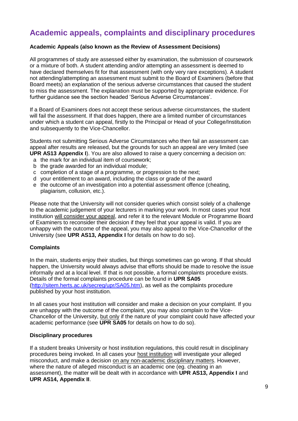### **Academic appeals, complaints and disciplinary procedures**

#### **Academic Appeals (also known as the Review of Assessment Decisions)**

All programmes of study are assessed either by examination, the submission of coursework or a mixture of both. A student attending and/or attempting an assessment is deemed to have declared themselves fit for that assessment (with only very rare exceptions). A student not attending/attempting an assessment must submit to the Board of Examiners (before that Board meets) an explanation of the serious adverse circumstances that caused the student to miss the assessment. The explanation must be supported by appropriate evidence. For further guidance see the section headed 'Serious Adverse Circumstances'.

If a Board of Examiners does not accept these serious adverse circumstances, the student will fail the assessment. If that does happen, there are a limited number of circumstances under which a student can appeal, firstly to the Principal or Head of your College/Institution and subsequently to the Vice-Chancellor.

Students not submitting Serious Adverse Circumstances who then fail an assessment can appeal after results are released, but the grounds for such an appeal are very limited (see **UPR AS13 Appendix I**). You are also allowed to raise a query concerning a decision on:

- a the mark for an individual item of coursework;
- b the grade awarded for an individual module;
- c completion of a stage of a programme, or progression to the next;
- d your entitlement to an award, including the class or grade of the award
- e the outcome of an investigation into a potential assessment offence (cheating, plagiarism, collusion, etc.).

Please note that the University will not consider queries which consist solely of a challenge to the academic judgement of your lecturers in marking your work. In most cases your host institution will consider your appeal, and refer it to the relevant Module or Programme Board of Examiners to reconsider their decision if they feel that your appeal is valid. If you are unhappy with the outcome of the appeal, you may also appeal to the Vice-Chancellor of the University (see **UPR AS13, Appendix I** for details on how to do so).

#### **Complaints**

In the main, students enjoy their studies, but things sometimes can go wrong. If that should happen, the University would always advise that efforts should be made to resolve the issue informally and at a local level. If that is not possible, a formal complaints procedure exists. Details of the formal complaints procedure can be found in **UPR SA05** [\(http://sitem.herts.ac.uk/secreg/upr/SA05.htm\)](http://sitem.herts.ac.uk/secreg/upr/SA05.htm), as well as the complaints procedure published by your host institution.

In all cases your host institution will consider and make a decision on your complaint. If you are unhappy with the outcome of the complaint, you may also complain to the Vice-Chancellor of the University, but only if the nature of your complaint could have affected your academic performance (see **UPR SA05** for details on how to do so).

#### **Disciplinary procedures**

If a student breaks University or host institution regulations, this could result in disciplinary procedures being invoked. In all cases your host institution will investigate your alleged misconduct, and make a decision on any non-academic disciplinary matters. However, where the nature of alleged misconduct is an academic one (eg. cheating in an assessment), the matter will be dealt with in accordance with **UPR AS13, Appendix I** and **UPR AS14, Appendix II**.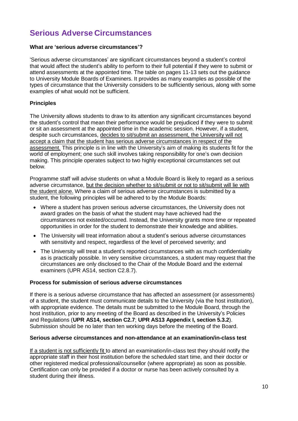### <span id="page-9-0"></span>**Serious Adverse Circumstances**

#### **What are 'serious adverse circumstances'?**

'Serious adverse circumstances' are significant circumstances beyond a student's control that would affect the student's ability to perform to their full potential if they were to submit or attend assessments at the appointed time. The table on pages 11-13 sets out the guidance to University Module Boards of Examiners. It provides as many examples as possible of the types of circumstance that the University considers to be sufficiently serious, along with some examples of what would not be sufficient.

#### **Principles**

The University allows students to draw to its attention any significant circumstances beyond the student's control that mean their performance would be prejudiced if they were to submit or sit an assessment at the appointed time in the academic session. However, if a student, despite such circumstances, decides to sit/submit an assessment, the University will not accept a claim that the student has serious adverse circumstances in respect of the assessment. This principle is in line with the University's aim of making its students fit for the world of employment; one such skill involves taking responsibility for one's own decision making. This principle operates subject to two highly exceptional circumstances set out below.

Programme staff will advise students on what a Module Board is likely to regard as a serious adverse circumstance, but the decision whether to sit/submit or not to sit/submit will lie with the student alone. Where a claim of serious adverse circumstances is submitted by a student, the following principles will be adhered to by the Module Boards:

- Where a student has proven serious adverse circumstances, the University does not award grades on the basis of what the student may have achieved had the circumstances not existed/occurred. Instead, the University grants more time or repeated opportunities in order for the student to demonstrate their knowledge and abilities.
- The University will treat information about a student's serious adverse circumstances with sensitivity and respect, regardless of the level of perceived severity; and
- The University will treat a student's reported circumstances with as much confidentiality as is practically possible. In very sensitive circumstances, a student may request that the circumstances are only disclosed to the Chair of the Module Board and the external examiners (UPR AS14, section C2.8.7).

#### **Process for submission of serious adverse circumstances**

If there is a serious adverse circumstance that has affected an assessment (or assessments) of a student, the student must communicate details to the University (via the host institution), with appropriate evidence. The details must be submitted to the Module Board, through the host institution, prior to any meeting of the Board as described in the University's Policies and Regulations (**UPR AS14, section C2.7**; **UPR AS13 Appendix I, section 5.3.2**). Submission should be no later than ten working days before the meeting of the Board.

#### **Serious adverse circumstances and non-attendance at an examination/in-class test**

If a student is not sufficiently fit to attend an examination/in-class test they should notify the appropriate staff in their host institution before the scheduled start time, and their doctor or other registered medical professional/counsellor (where appropriate) as soon as possible. Certification can only be provided if a doctor or nurse has been actively consulted by a student during their illness.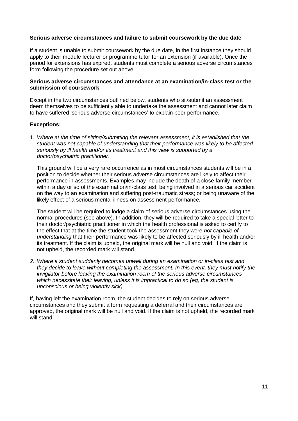#### **Serious adverse circumstances and failure to submit coursework by the due date**

If a student is unable to submit coursework by the due date, in the first instance they should apply to their module lecturer or programme tutor for an extension (if available). Once the period for extensions has expired, students must complete a serious adverse circumstances form following the procedure set out above.

#### **Serious adverse circumstances and attendance at an examination/in-class test or the submission of coursework**

Except in the two circumstances outlined below, students who sit/submit an assessment deem themselves to be sufficiently able to undertake the assessment and cannot later claim to have suffered 'serious adverse circumstances' to explain poor performance.

#### **Exceptions:**

1. *Where at the time of sitting/submitting the relevant assessment, it is established that the student was not capable of understanding that their performance was likely to be affected seriously by ill health and/or its treatment and this view is supported by a doctor/psychiatric practitioner*.

This ground will be a very rare occurrence as in most circumstances students will be in a position to decide whether their serious adverse circumstances are likely to affect their performance in assessments. Examples may include the death of a close family member within a day or so of the examination/in-class test; being involved in a serious car accident on the way to an examination and suffering post-traumatic stress; or being unaware of the likely effect of a serious mental illness on assessment performance.

The student will be required to lodge a claim of serious adverse circumstances using the normal procedures (see above). In addition, they will be required to take a special letter to their doctor/psychiatric practitioner in which the health professional is asked to certify to the effect that at the time the student took the assessment they were *not capable of understanding* that their performance was likely to be affected seriously by ill health and/or its treatment. If the claim is upheld, the original mark will be null and void. If the claim is not upheld, the recorded mark will stand.

*2. Where a student suddenly becomes unwell during an examination or in-class test and they decide to leave without completing the assessment. In this event, they must notify the invigilator before leaving the examination room of the serious adverse circumstances which necessitate their leaving, unless it is impractical to do so (eg, the student is unconscious or being violently sick).*

If, having left the examination room, the student decides to rely on serious adverse circumstances and they submit a form requesting a deferral and their circumstances are approved, the original mark will be null and void. If the claim is not upheld, the recorded mark will stand.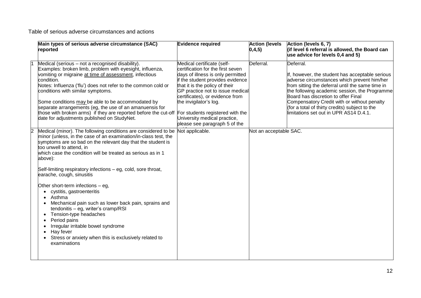Table of serious adverse circumstances and actions

|   | Main types of serious adverse circumstance (SAC)<br>reported                                                                                                                                                                                                                                                                                                                                                                                                                                                                                                                                                                                                                                                                                                                 | <b>Evidence required</b>                                                                                                                                                                                                                                                                                                                                                         | <b>Action (levels</b><br>0,4,5) | Action (levels 6, 7)<br>(if level 6 referral is allowed, the Board can<br>use advice for levels 0,4 and 5)                                                                                                                                                                                                                                                                                         |
|---|------------------------------------------------------------------------------------------------------------------------------------------------------------------------------------------------------------------------------------------------------------------------------------------------------------------------------------------------------------------------------------------------------------------------------------------------------------------------------------------------------------------------------------------------------------------------------------------------------------------------------------------------------------------------------------------------------------------------------------------------------------------------------|----------------------------------------------------------------------------------------------------------------------------------------------------------------------------------------------------------------------------------------------------------------------------------------------------------------------------------------------------------------------------------|---------------------------------|----------------------------------------------------------------------------------------------------------------------------------------------------------------------------------------------------------------------------------------------------------------------------------------------------------------------------------------------------------------------------------------------------|
|   | Medical (serious - not a recognised disability).<br>Examples: broken limb, problem with eyesight, influenza,<br>vomiting or migraine at time of assessment, infectious<br>condition.<br>Notes: Influenza ('flu') does not refer to the common cold or<br>conditions with similar symptoms.<br>Some conditions may be able to be accommodated by<br>separate arrangements (eg, the use of an amanuensis for<br>those with broken arms) if they are reported before the cut-off<br>date for adjustments published on StudyNet.                                                                                                                                                                                                                                                 | Medical certificate (self-<br>certification for the first seven<br>days of illness is only permitted<br>if the student provides evidence<br>that it is the policy of their<br>GP practice not to issue medical<br>certificates), or evidence from<br>the invigilator's log.<br>For students registered with the<br>University medical practice,<br>please see paragraph 5 of the | Deferral.                       | Deferral.<br>If, however, the student has acceptable serious<br>adverse circumstances which prevent him/her<br>from sitting the deferral until the same time in<br>the following academic session, the Programme<br>Board has discretion to offer Final<br>Compensatory Credit with or without penalty<br>(for a total of thirty credits) subject to the<br>limitations set out in UPR AS14 D.4.1. |
| 2 | Medical (minor). The following conditions are considered to be Not applicable.<br>minor (unless, in the case of an examination/in-class test, the<br>symptoms are so bad on the relevant day that the student is<br>too unwell to attend, in<br>which case the condition will be treated as serious as in 1<br>above):<br>Self-limiting respiratory infections – eg, cold, sore throat,<br>earache, cough, sinusitis<br>Other short-term infections - eg,<br>cystitis, gastroenteritis<br>Asthma<br>Mechanical pain such as lower back pain, sprains and<br>tendonitis $-$ eg, writer's cramp/RSI<br>Tension-type headaches<br>٠<br>Period pains<br>Irregular irritable bowel syndrome<br>Hay fever<br>Stress or anxiety when this is exclusively related to<br>examinations |                                                                                                                                                                                                                                                                                                                                                                                  | Not an acceptable SAC.          |                                                                                                                                                                                                                                                                                                                                                                                                    |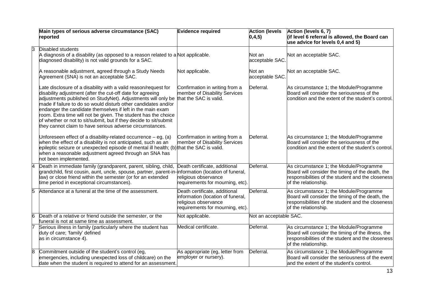|   | Main types of serious adverse circumstance (SAC)<br>reported                                                                                                                                                                                                                                                                                                                                                                                                                                                                     | <b>Evidence required</b>                                                                                                       | <b>Action (levels</b><br>(0, 4, 5) | Action (levels 6, 7)<br>(if level 6 referral is allowed, the Board can<br>use advice for levels 0,4 and 5)                                                                 |
|---|----------------------------------------------------------------------------------------------------------------------------------------------------------------------------------------------------------------------------------------------------------------------------------------------------------------------------------------------------------------------------------------------------------------------------------------------------------------------------------------------------------------------------------|--------------------------------------------------------------------------------------------------------------------------------|------------------------------------|----------------------------------------------------------------------------------------------------------------------------------------------------------------------------|
| 3 | <b>Disabled students</b><br>A diagnosis of a disability (as opposed to a reason related to a Not applicable.<br>diagnosed disability) is not valid grounds for a SAC.                                                                                                                                                                                                                                                                                                                                                            |                                                                                                                                | Not an<br>acceptable SAC.          | Not an acceptable SAC.                                                                                                                                                     |
|   | A reasonable adjustment, agreed through a Study Needs<br>Agreement (SNA) is not an acceptable SAC.                                                                                                                                                                                                                                                                                                                                                                                                                               | Not applicable.                                                                                                                | Not an<br>acceptable SAC.          | Not an acceptable SAC.                                                                                                                                                     |
|   | Late disclosure of a disability with a valid reason/request for<br>disability adjustment (after the cut-off date for agreeing<br>adjustments published on StudyNet). Adjustments will only be<br>made if failure to do so would disturb other candidates and/or<br>endanger the candidate themselves if left in the main exam<br>room. Extra time will not be given. The student has the choice<br>of whether or not to sit/submit, but if they decide to sit/submit<br>they cannot claim to have serious adverse circumstances. | Confirmation in writing from a<br>member of Disability Services<br>that the SAC is valid.                                      | Deferral.                          | As circumstance 1; the Module/Programme<br>Board will consider the seriousness of the<br>condition and the extent of the student's control.                                |
|   | Unforeseen effect of a disability-related occurrence $-e.g. (a)$<br>when the effect of a disability is not anticipated, such as an<br>epileptic seizure or unexpected episode of mental ill health; (b) that the SAC is valid.<br>when a reasonable adjustment agreed through an SNA has<br>not been implemented.                                                                                                                                                                                                                | Confirmation in writing from a<br>member of Disability Services                                                                | Deferral.                          | As circumstance 1; the Module/Programme<br>Board will consider the seriousness of the<br>condition and the extent of the student's control.                                |
|   | Death in immediate family (grandparent, parent, sibling, child,<br>grandchild, first cousin, aunt, uncle, spouse, partner, parent-in- information (location of funeral,<br>law) or close friend within the semester (or for an extended<br>time period in exceptional circumstances).                                                                                                                                                                                                                                            | Death certificate, additional<br>religious observance<br>requirements for mourning, etc).                                      | Deferral.                          | As circumstance 1; the Module/Programme<br>Board will consider the timing of the death, the<br>responsibilities of the student and the closeness<br>of the relationship.   |
|   | Attendance at a funeral at the time of the assessment.                                                                                                                                                                                                                                                                                                                                                                                                                                                                           | Death certificate, additional<br>information (location of funeral,<br>religious observance<br>requirements for mourning, etc). | Deferral.                          | As circumstance 1; the Module/Programme<br>Board will consider the timing of the death, the<br>responsibilities of the student and the closeness<br>of the relationship.   |
|   | Death of a relative or friend outside the semester, or the<br>funeral is not at same time as assessment.                                                                                                                                                                                                                                                                                                                                                                                                                         | Not applicable.                                                                                                                | Not an acceptable SAC.             |                                                                                                                                                                            |
|   | Serious illness in family (particularly where the student has<br>duty of care; 'family' defined<br>as in circumstance 4).                                                                                                                                                                                                                                                                                                                                                                                                        | Medical certificate.                                                                                                           | Deferral.                          | As circumstance 1; the Module/Programme<br>Board will consider the timing of the illness, the<br>responsibilities of the student and the closeness<br>of the relationship. |
| 8 | Commitment outside of the student's control (eg,<br>emergencies, including unexpected loss of childcare) on the<br>date when the student is required to attend for an assessment.                                                                                                                                                                                                                                                                                                                                                | As appropriate (eg, letter from<br>employer or nursery).                                                                       | Deferral.                          | As circumstance 1; the Module/Programme<br>Board will consider the seriousness of the event<br>and the extent of the student's control.                                    |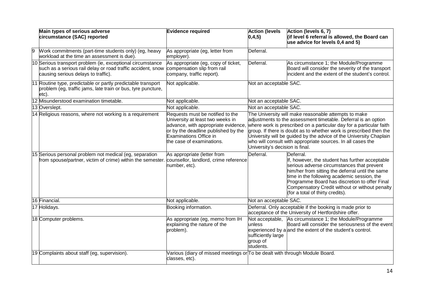| Main types of serious adverse<br>circumstance (SAC) reported                                                                                                                                 | <b>Evidence required</b>                                                                                                                                                                                  | <b>Action (levels</b><br>0,4,5)                                          | Action (levels 6, 7)<br>(if level 6 referral is allowed, the Board can<br>use advice for levels 0,4 and 5)                                                                                                                                                                                                                                                                                               |
|----------------------------------------------------------------------------------------------------------------------------------------------------------------------------------------------|-----------------------------------------------------------------------------------------------------------------------------------------------------------------------------------------------------------|--------------------------------------------------------------------------|----------------------------------------------------------------------------------------------------------------------------------------------------------------------------------------------------------------------------------------------------------------------------------------------------------------------------------------------------------------------------------------------------------|
| Work commitments (part-time students only) (eg, heavy<br>workload at the time an assessment is due).                                                                                         | As appropriate (eg, letter from<br>employer).                                                                                                                                                             | Deferral.                                                                |                                                                                                                                                                                                                                                                                                                                                                                                          |
| 10 Serious transport problem (ie, exceptional circumstance<br>such as a serious rail delay or road traffic accident, snow compensation slip from rail<br>causing serious delays to traffic). | As appropriate (eg, copy of ticket,<br>company, traffic report).                                                                                                                                          | Deferral.                                                                | As circumstance 1; the Module/Programme<br>Board will consider the severity of the transport<br>incident and the extent of the student's control.                                                                                                                                                                                                                                                        |
| 11 Routine type, predictable or partly predictable transport<br>problem (eg, traffic jams, late train or bus, tyre puncture,<br>etc).                                                        | Not applicable.                                                                                                                                                                                           | Not an acceptable SAC.                                                   |                                                                                                                                                                                                                                                                                                                                                                                                          |
| 12 Misunderstood examination timetable.                                                                                                                                                      | Not applicable.                                                                                                                                                                                           | Not an acceptable SAC.                                                   |                                                                                                                                                                                                                                                                                                                                                                                                          |
| 13 Overslept.                                                                                                                                                                                | Not applicable.                                                                                                                                                                                           | Not an acceptable SAC.                                                   |                                                                                                                                                                                                                                                                                                                                                                                                          |
| 14 Religious reasons, where not working is a requirement                                                                                                                                     | Requests must be notified to the<br>University at least two weeks in<br>advance, with appropriate evidence,<br>or by the deadline published by the<br>Examinations Office in<br>the case of examinations. | University's decision is final.                                          | The University will make reasonable attempts to make<br>adjustments to the assessment timetable. Deferral is an option<br>where work is prescribed on a particular day for a particular faith<br>group. If there is doubt as to whether work is prescribed then the<br>University will be guided by the advice of the University Chaplain<br>who will consult with appropriate sources. In all cases the |
| 15 Serious personal problem not medical (eg, separation<br>from spouse/partner, victim of crime) within the semester. counsellor, landlord, crime reference                                  | As appropriate (letter from<br>number, etc).                                                                                                                                                              | Deferral.                                                                | Deferral.<br>If, however, the student has further acceptable<br>serious adverse circumstances that prevent<br>him/her from sitting the deferral until the same<br>time in the following academic session, the<br>Programme Board has discretion to offer Final<br>Compensatory Credit without or without penalty<br>(for a total of thirty credits).                                                     |
| 16 Financial.                                                                                                                                                                                | Not applicable.                                                                                                                                                                                           | Not an acceptable SAC.                                                   |                                                                                                                                                                                                                                                                                                                                                                                                          |
| 17 Holidays.                                                                                                                                                                                 | Booking information.                                                                                                                                                                                      |                                                                          | Deferral. Only acceptable if the booking is made prior to<br>acceptance of the University of Hertfordshire offer.                                                                                                                                                                                                                                                                                        |
| 18 Computer problems.                                                                                                                                                                        | As appropriate (eg, memo from IH<br>explaining the nature of the<br>problem).                                                                                                                             | Not acceptable,<br>unless<br>sufficiently large<br>group of<br>students. | As circumstance 1; the Module/Programme<br>Board will consider the seriousness of the event<br>experienced by a and the extent of the student's control.                                                                                                                                                                                                                                                 |
| 19 Complaints about staff (eg, supervision).                                                                                                                                                 | Various (diary of missed meetings or To be dealt with through Module Board.<br>classes, etc).                                                                                                             |                                                                          |                                                                                                                                                                                                                                                                                                                                                                                                          |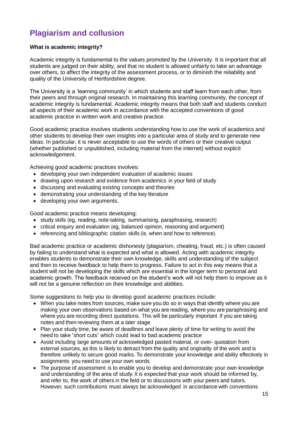### <span id="page-14-0"></span>**Plagiarism and collusion**

#### **What is academic integrity?**

Academic integrity is fundamental to the values promoted by the University. It is important that all students are judged on their ability, and that no student is allowed unfairly to take an advantage over others, to affect the integrity of the assessment process, or to diminish the reliability and quality of the University of Hertfordshire degree.

The University is a 'learning community' in which students and staff learn from each other, from their peers and through original research. In maintaining this learning community, the concept of academic integrity is fundamental. Academic integrity means that both staff and students conduct all aspects of their academic work in accordance with the accepted conventions of good academic practice in written work and creative practice.

Good academic practice involves students understanding how to use the work of academics and other students to develop their own insights into a particular area of study and to generate new ideas. In particular, it is never acceptable to use the words of others or their creative output (whether published or unpublished, including material from the internet) without explicit acknowledgement.

Achieving good academic practices involves:

- developing your own independent evaluation of academic issues
- drawing upon research and evidence from academics in your field of study
- discussing and evaluating existing concepts and theories
- demonstrating your understanding of the key literature
- developing your own arguments.

Good academic practice means developing:

- study skills (eg, reading, note-taking, summarising, paraphrasing, research)
- critical enquiry and evaluation (eg, balanced opinion, reasoning and argument)
- referencing and bibliographic citation skills (ie, when and how to reference).

Bad academic practice or academic dishonesty (plagiarism, cheating, fraud, etc.) is often caused by failing to understand what is expected and what is allowed. Acting with academic integrity enables students to demonstrate their own knowledge, skills and understanding of the subject and then to receive feedback to help them to progress. Failure to act in this way means that a student will not be developing the skills which are essential in the longer term to personal and academic growth. The feedback received on the student's work will not help them to improve as it will not be a genuine reflection on their knowledge and abilities.

Some suggestions to help you to develop good academic practices include:

- When you take notes from sources, make sure you do so in ways that identify where you are making your own observations based on what you are reading, where you are paraphrasing and where you are recording direct quotations. This will be particularly important if you are taking notes and then reviewing them at a later stage
- Plan your study time, be aware of deadlines and leave plenty of time for writing to avoid the need to take 'short cuts' which could lead to bad academic practice
- Avoid including large amounts of acknowledged pasted material, or over- quotation from external sources, as this is likely to detract from the quality and originality of the work and is therefore unlikely to secure good marks. To demonstrate your knowledge and ability effectively in assignments you need to use your own words
- The purpose of assessment is to enable you to develop and demonstrate your own knowledge and understanding of the area of study. It is expected that your work should be informed by, and refer to, the work of others in the field or to discussions with your peers and tutors. However, such contributions must always be acknowledged in accordance with conventions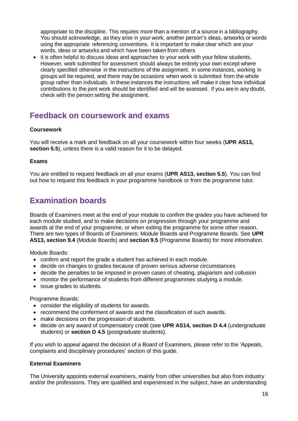appropriate to the discipline. This requires more than a mention of a source in a bibliography. You should acknowledge, as they arise in your work, another person's ideas, artworks or words using the appropriate referencing conventions. It is important to make clear which are your words, ideas or artworks and which have been taken from others

• It is often helpful to discuss ideas and approaches to your work with your fellow students. However, work submitted for assessment should always be entirely your own except where clearly specified otherwise in the instructions of the assignment. In some instances, working in groups will be required, and there may be occasions when work is submitted from the whole group rather than individuals. In these instances the instructions will make it clear how individual contributions to the joint work should be identified and will be assessed. If you are in any doubt, check with the person setting the assignment.

### <span id="page-15-0"></span>**Feedback on coursework and exams**

#### **Coursework**

You will receive a mark and feedback on all your coursework within four weeks (**UPR AS13, section 5.5**), unless there is a valid reason for it to be delayed.

#### **Exams**

You are entitled to request feedback on all your exams (**UPR AS13, section 5.5**). You can find out how to request this feedback in your programme handbook or from the programme tutor.

### <span id="page-15-1"></span>**Examination boards**

Boards of Examiners meet at the end of your module to confirm the grades you have achieved for each module studied, and to make decisions on progression through your programme and awards at the end of your programme, or when exiting the programme for some other reason. There are two types of Boards of Examiners: Module Boards and Programme Boards. See **UPR AS13, section 9.4** (Module Boards) and **section 9.5** (Programme Boards) for more information.

Module Boards:

- confirm and report the grade a student has achieved in each module.
- decide on changes to grades because of proven serious adverse circumstances
- decide the penalties to be imposed in proven cases of cheating, plagiarism and collusion
- monitor the performance of students from different programmes studying a module.
- issue grades to students.

Programme Boards:

- consider the eligibility of students for awards.
- recommend the conferment of awards and the classification of such awards.
- make decisions on the progression of students.
- decide on any award of compensatory credit (see **UPR AS14, section D 4.4** (undergraduate students) or **section D 4.5** (postgraduate students).

If you wish to *appeal* against the decision of a Board of Examiners, please refer to the 'Appeals, complaints and disciplinary procedures' section of this guide.

#### **External Examiners**

The University appoints external examiners, mainly from other universities but also from industry and/or the professions. They are qualified and experienced in the subject, have an understanding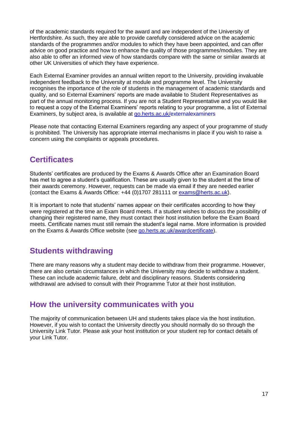of the academic standards required for the award and are independent of the University of Hertfordshire. As such, they are able to provide carefully considered advice on the academic standards of the programmes and/or modules to which they have been appointed, and can offer advice on good practice and how to enhance the quality of those programmes/modules. They are also able to offer an informed view of how standards compare with the same or similar awards at other UK Universities of which they have experience.

Each External Examiner provides an annual written report to the University, providing invaluable independent feedback to the University at module and programme level. The University recognises the importance of the role of students in the management of academic standards and quality, and so External Examiners' reports are made available to Student Representatives as part of the annual monitoring process. If you are not a Student Representative and you would like to request a copy of the External Examiners' reports relating to your programme, a list of External Examiners, by subject area, is available at [go.herts.ac.uk/e](http://www.go.herts.ac.uk/externalexaminers)xternalexaminers

Please note that contacting External Examiners regarding any aspect of your programme of study is prohibited. The University has appropriate internal mechanisms in place if you wish to raise a concern using the complaints or appeals procedures.

### <span id="page-16-0"></span>**Certificates**

Students' certificates are produced by the Exams & Awards Office after an Examination Board has met to agree a student's qualification. These are usually given to the student at the time of their awards ceremony. However, requests can be made via email if they are needed earlier (contact the Exams & Awards Office: +44 (0)1707 281111 or [exams@herts.ac.uk\)](mailto:exams@herts.ac.uk).

It is important to note that students' names appear on their certificates according to how they were registered at the time an Exam Board meets. If a student wishes to discuss the possibility of changing their registered name, they must contact their host institution before the Exam Board meets. Certificate names must still remain the student's legal name. More information is provided on the Exams & Awards Office website (see [go.herts.ac.uk/awardcertificate\)](file:///C:/Users/rm08adj/AppData/Local/Microsoft/Windows/Temporary%20Internet%20Files/Content.Outlook/JB3QLT9V/go.herts.ac.uk/certificate).

### <span id="page-16-1"></span>**Students withdrawing**

There are many reasons why a student may decide to withdraw from their programme. However, there are also certain circumstances in which the University may decide to withdraw a student. These can include academic failure, debt and disciplinary reasons. Students considering withdrawal are advised to consult with their Programme Tutor at their host institution.

### **How the university communicates with you**

The majority of communication between UH and students takes place via the host institution. However, if you wish to contact the University directly you should normally do so through the University Link Tutor. Please ask your host institution or your student rep for contact details of your Link Tutor.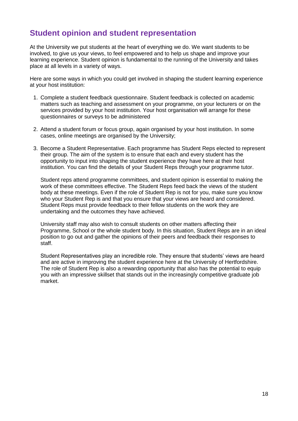### **Student opinion and student representation**

At the University we put students at the heart of everything we do. We want students to be involved, to give us your views, to feel empowered and to help us shape and improve your learning experience. Student opinion is fundamental to the running of the University and takes place at all levels in a variety of ways.

Here are some ways in which you could get involved in shaping the student learning experience at your host institution:

- 1. Complete a student feedback questionnaire. Student feedback is collected on academic matters such as teaching and assessment on your programme, on your lecturers or on the services provided by your host institution. Your host organisation will arrange for these questionnaires or surveys to be administered
- 2. Attend a student forum or focus group, again organised by your host institution. In some cases, online meetings are organised by the University;
- 3. Become a Student Representative. Each programme has Student Reps elected to represent their group. The aim of the system is to ensure that each and every student has the opportunity to input into shaping the student experience they have here at their host institution. You can find the details of your Student Reps through your programme tutor.

Student reps attend programme committees, and student opinion is essential to making the work of these committees effective. The Student Reps feed back the views of the student body at these meetings. Even if the role of Student Rep is not for you, make sure you know who your Student Rep is and that you ensure that your views are heard and considered. Student Reps must provide feedback to their fellow students on the work they are undertaking and the outcomes they have achieved.

University staff may also wish to consult students on other matters affecting their Programme, School or the whole student body. In this situation, Student Reps are in an ideal position to go out and gather the opinions of their peers and feedback their responses to staff.

Student Representatives play an incredible role. They ensure that students' views are heard and are active in improving the student experience here at the University of Hertfordshire. The role of Student Rep is also a rewarding opportunity that also has the potential to equip you with an impressive skillset that stands out in the increasingly competitive graduate job market.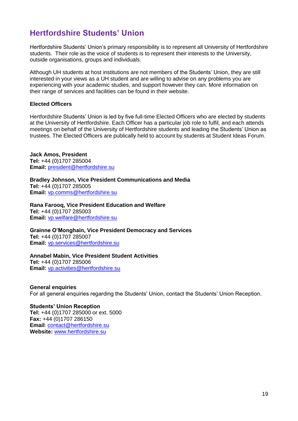### **Hertfordshire Students' Union**

Hertfordshire Students' Union's primary responsibility is to represent all University of Hertfordshire students. Their role as the voice of students is to represent their interests to the University, outside organisations, groups and individuals.

Although UH students at host institutions are not members of the Students' Union, they are still interested in your views as a UH student and are willing to advise on any problems you are experiencing with your academic studies, and support however they can. More information on their range of services and facilities can be found in their website.

#### **Elected Officers**

Hertfordshire Students' Union is led by five full-time Elected Officers who are elected by students at the University of Hertfordshire. Each Officer has a particular job role to fulfil, and each attends meetings on behalf of the University of Hertfordshire students and leading the Students' Union as trustees. The Elected Officers are publically held to account by students at Student Ideas Forum.

**Jack Amos, President Tel:** +44 (0)1707 285004 **Email:** [president@hertfordshire.su](mailto:president@hertfordshire.su)

**Bradley Johnson, Vice President Communications and Media Tel:** +44 (0)1707 285005 **Email:** [vp.comms@hertfordshire.su](mailto:vp.comms@hertfordshire.su)

**Rana Farooq, Vice President Education and Welfare Tel:** +44 (0)1707 285003 **Email:** [vp.welfare@hertfordshire.su](mailto:vp.welfare@hertfordshire.su)

**Grainne O'Monghain, Vice President Democracy and Services Tel:** +44 (0)1707 285007 **Email:** [vp.services@hertfordshire.su](mailto:vp.services@hertfordshire.su)

**Annabel Mabin, Vice President Student Activities Tel:** +44 (0)1707 285006 **Email:** [vp.activities@hertfordshire.su](mailto:vp.activities@hertfordshire.su)

#### **General enquiries**

For all general enquiries regarding the Students' Union, contact the Students' Union Reception.

**Students' Union Reception Tel:** +44 (0)1707 285000 or ext. 5000 **Fax:** +44 (0)1707 286150 **Email**: [contact@hertfordshire.su](mailto:contact@hertfordshire.su) **Website:** [www.hertfordshire.su](http://www.hertfordshire.su/)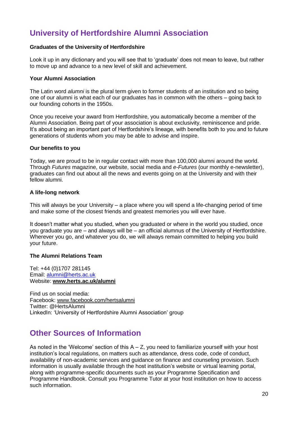### **University of Hertfordshire Alumni Association**

#### **Graduates of the University of Hertfordshire**

Look it up in any dictionary and you will see that to 'graduate' does not mean to leave, but rather to move up and advance to a new level of skill and achievement.

#### **Your Alumni Association**

The Latin word *alumni* is the plural term given to former students of an institution and so being one of our alumni is what each of our graduates has in common with the others – going back to our founding cohorts in the 1950s.

Once you receive your award from Hertfordshire, you automatically become a member of the Alumni Association. Being part of your association is about exclusivity, reminiscence and pride. It's about being an important part of Hertfordshire's lineage, with benefits both to you and to future generations of students whom you may be able to advise and inspire.

#### **Our benefits to you**

Today, we are proud to be in regular contact with more than 100,000 alumni around the world. Through *Futures* magazine, our website, social media and *e-Futures* (our monthly e-newsletter), graduates can find out about all the news and events going on at the University and with their fellow alumni.

#### **A life-long network**

This will always be your University – a place where you will spend a life-changing period of time and make some of the closest friends and greatest memories you will ever have.

It doesn't matter what you studied, when you graduated or where in the world you studied, once you graduate you are – and always will be – an official alumnus of the University of Hertfordshire. Wherever you go, and whatever you do, we will always remain committed to helping you build your future.

#### **The Alumni Relations Team**

Tel: +44 (0)1707 281145 Email: [alumni@herts.ac.uk](mailto:alumni@herts.ac.uk) Website: **[www.herts.ac.uk/alumni](http://www.herts.ac.uk/alumni)**

Find us on social media: Facebook: [www.facebook.com/hertsalumni](http://www.facebook.com/hertsalumni)  Twitter: @HertsAlumni LinkedIn: 'University of Hertfordshire Alumni Association' group

### **Other Sources of Information**

As noted in the 'Welcome' section of this  $A - Z$ , you need to familiarize yourself with your host institution's local regulations, on matters such as attendance, dress code, code of conduct, availability of non-academic services and guidance on finance and counseling provision. Such information is usually available through the host institution's website or virtual learning portal, along with programme-specific documents such as your Programme Specification and Programme Handbook. Consult you Programme Tutor at your host institution on how to access such information.